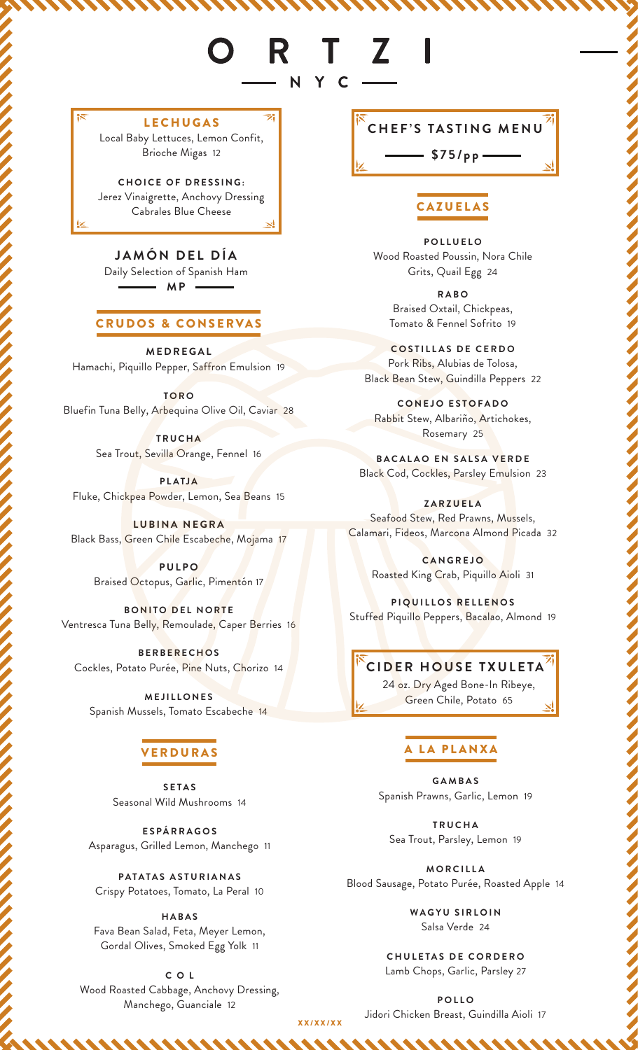# R T Z NYC-

LECHUGAS Local Baby Lettuces, Lemon Confit, Brioche Migas 12

**CHOICE OF DRESSING:** Jerez Vinaigrette, Anchovy Dressing Cabrales Blue Cheese

**JAMÓN DEL DÍA** Daily Selection of Spanish Ham **MP** -

## CRUDOS & CONSERVAS

**MEDREGAL** Hamachi, Piquillo Pepper, Saffron Emulsion 19

**T O R O**  Bluefin Tuna Belly, Arbequina Olive Oil, Caviar 28

> **TRUCHA** Sea Trout, Sevilla Orange, Fennel 16

**PLATJA** Fluke, Chickpea Powder, Lemon, Sea Beans 15

**LUBINA NEGRA** Black Bass, Green Chile Escabeche, Mojama 17

> **PULPO** Braised Octopus, Garlic, Pimentón 17

**BONITO DEL NORTE** Ventresca Tuna Belly, Remoulade, Caper Berries 16

**BERBERECHOS** Cockles, Potato Purée, Pine Nuts, Chorizo 14

**MEJILLONES** Spanish Mussels, Tomato Escabeche 14

# ERDURAS

**SETAS** Seasonal Wild Mushrooms 14

**ESPÁRRAGOS** Asparagus, Grilled Lemon, Manchego 11

**PATATAS ASTURIANAS** Crispy Potatoes, Tomato, La Peral 10

**HABAS** Fava Bean Salad, Feta, Meyer Lemon, Gordal Olives, Smoked Egg Yolk 11

**C O L** Wood Roasted Cabbage, Anchovy Dressing, Manchego, Guanciale 12

**CHEF'S TASTING MENU**

**\$75/pp**

# **CAZUELAS**

**POLLUELO** Wood Roasted Poussin, Nora Chile Grits, Quail Egg 24

> **RABO** Braised Oxtail, Chickpeas, Tomato & Fennel Sofrito 19

**COSTILLAS DE CERDO** Pork Ribs, Alubias de Tolosa, Black Bean Stew, Guindilla Peppers 22

**CONEJO ESTOFADO** Rabbit Stew, Albariño, Artichokes, Rosemary 25

**BACALAO EN SALSA VERDE** Black Cod, Cockles, Parsley Emulsion 23

**ZARZUELA** Seafood Stew, Red Prawns, Mussels, Calamari, Fideos, Marcona Almond Picada 32

> **CANGREJO** Roasted King Crab, Piquillo Aioli 31

**PIQUILLOS RELLENOS** Stuffed Piquillo Peppers, Bacalao, Almond 19

# **CIDER HOUSE TXULETA**

24 oz. Dry Aged Bone-In Ribeye, Green Chile, Potato 65

# A LA PLANXA

**GAMBAS** Spanish Prawns, Garlic, Lemon 19

**TRUCHA** Sea Trout, Parsley, Lemon 19

**MORCILLA** Blood Sausage, Potato Purée, Roasted Apple 14

> **WAGYU SIRLOIN** Salsa Verde 24

**CHULETAS DE CORDERO** Lamb Chops, Garlic, Parsley 27

**POLLO** Jidori Chicken Breast, Guindilla Aioli 17

XX/XX/XX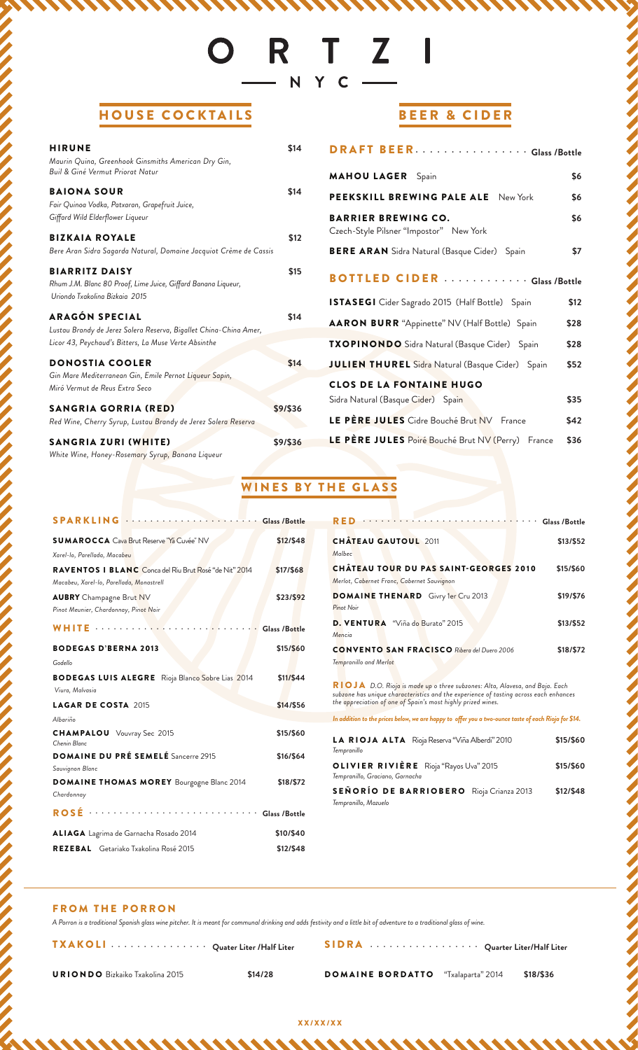# ORTZI N Y C —

# HOUSE COCKTAILS

| <b>HIRUNE</b><br>Maurin Quina, Greenhook Ginsmiths American Dry Gin,<br>Buil & Giné Vermut Priorat Natur                                    | \$14     |
|---------------------------------------------------------------------------------------------------------------------------------------------|----------|
| <b>BAIONA SOUR</b><br>Fair Quinoa Vodka, Patxaran, Grapefruit Juice,<br>Giffard Wild Elderflower Liqueur                                    | \$14     |
| <b>BIZKAIA ROYALE</b><br>Bere Aran Sidra Sagarda Natural, Domaine Jacquiot Crème de Cassis                                                  | \$12     |
| <b>BIARRITZ DAISY</b><br>Rhum J.M. Blanc 80 Proof, Lime Juice, Giffard Banana Liqueur,<br>Uriondo Txakolina Bizkaia 2015                    | \$15     |
| ARAGÓN SPECIAL<br>Lustau Brandy de Jerez Solera Reserva, Bigallet China-China Amer,<br>Licor 43, Peychaud's Bitters, La Muse Verte Absinthe | \$14     |
| <b>DONOSTIA COOLER</b><br>Gin Mare Mediterranean Gin, Emile Pernot Liqueur Sapin,<br>Miró Vermut de Reus Extra Seco                         | \$14     |
| <b>SANGRIA GORRIA (RED)</b><br>Red Wine, Cherry Syrup, Lustau Brandy de Jerez Solera Reserva                                                | \$9/\$36 |
| SANGRIA ZURI (WHITE)<br>White Wine, Honey-Rosemary Syrup, Banana Liqueur                                                                    | \$9/\$36 |

# BEER & CIDER

| <b>DRAFT BEERGlass /Bottle</b>                                               |
|------------------------------------------------------------------------------|
| <b>MAHOU LAGER</b> Spain<br>\$6                                              |
| PEEKSKILL BREWING PALE ALE New York<br>\$6                                   |
| <b>BARRIER BREWING CO.</b><br>\$6<br>Czech-Style Pilsner "Impostor" New York |
| \$7<br><b>BERE ARAN</b> Sidra Natural (Basque Cider) Spain                   |
| <b>BOTTLED CIDER</b> Glass /Bottle                                           |
| ISTASEGI Cider Sagrado 2015 (Half Bottle) Spain<br>\$12                      |
| AARON BURR "Appinette" NV (Half Bottle) Spain<br>\$28                        |
| TXOPINONDO Sidra Natural (Basque Cider) Spain<br>\$28                        |
| <b>JULIEN THUREL</b> Sidra Natural (Basque Cider) Spain<br>\$52              |
| <b>CLOS DE LA FONTAINE HUGO</b>                                              |
| Sidra Natural (Basque Cider) Spain<br>\$35                                   |
| LE PÈRE JULES Cidre Bouché Brut NV France<br>\$42                            |
| LE PÈRE JULES Poiré Bouché Brut NV (Perry) France<br>\$36                    |

# WINES BY THE GLASS

| <b>SPARKLING</b>                                                                                   | <b>······ Glass /Bottle</b> |
|----------------------------------------------------------------------------------------------------|-----------------------------|
| <b>SUMAROCCA</b> Cava Brut Reserve "Ya Cuvée" NV                                                   | \$12/\$48                   |
| Xarel-lo, Parellada, Macabeu                                                                       |                             |
| RAVENTOS I BLANC Conca del Riu Brut Rosé "de Nit" 2014<br>Macabeu, Xarel-lo, Parellada, Monastrell | \$17/\$68                   |
| <b>AUBRY</b> Champagne Brut NV<br>Pinot Meunier, Chardonnay, Pinot Noir                            | \$23/\$92                   |
| WHITE                                                                                              | Glass /Bottle               |
| <b>BODEGAS D'BERNA 2013</b><br>Godello                                                             | \$15/\$60                   |
| <b>BODEGAS LUIS ALEGRE</b> Rioja Blanco Sobre Lias 2014<br>Viura, Malvasia                         | \$11/\$44                   |
| <b>LAGAR DE COSTA 2015</b>                                                                         | \$14/\$56                   |
| Albariño                                                                                           |                             |
| <b>CHAMPALOU</b> Vouvray Sec 2015<br>Chenin Blanc                                                  | \$15/\$60                   |
| <b>DOMAINE DU PRÉ SEMELÉ</b> Sancerre 2915<br>Sauvignon Blanc                                      | \$16/\$64                   |
| <b>DOMAINE THOMAS MOREY</b> Bourgogne Blanc 2014<br>Chardonnay                                     | \$18/\$72                   |
| ROSÉ Glass /Bottle                                                                                 |                             |
| <b>ALIAGA</b> Lagrima de Garnacha Rosado 2014                                                      | \$10/\$40                   |
| <b>REZEBAL</b> Getariako Txakolina Rosé 2015                                                       | \$12/\$48                   |

| RED Glass /Bottle                                  |           |
|----------------------------------------------------|-----------|
| <b>CHÂTEAU GAUTOUL 2011</b>                        | \$13/\$52 |
| Malbec                                             |           |
| <b>CHÂTEAU TOUR DU PAS SAINT-GEORGES 2010</b>      | \$15/\$60 |
| Merlot, Cabernet Franc, Cabernet Sauvignon         |           |
| <b>DOMAINE THENARD</b> Givry 1er Cru 2013          | \$19/\$76 |
| Pinot Noir                                         |           |
| D. VENTURA "Viña do Burato" 2015                   | \$13/\$52 |
| Mencia                                             |           |
| <b>CONVENTO SAN FRACISCO</b> Ribera del Duero 2006 | \$18/\$72 |
| Tempranillo and Merlot                             |           |
|                                                    |           |

**RIOJA** D.O. Rioja is made up o three subzones: Alta, Alavesa, and Baja. Each<br>subzone has unique characteristics and the experience of tasting across each enhances<br>the appreciation of one of Spain's most highly prized wine

| In addition to the prices below, we are happy to offer you a two-ounce taste of each Rioja for \$14. |           |
|------------------------------------------------------------------------------------------------------|-----------|
| LA RIOJA ALTA Rioja Reserva "Viña Alberdi" 2010<br>Tempranillo                                       | \$15/\$60 |
| <b>OLIVIER RIVIÈRE</b> Rioja "Rayos Uva" 2015<br>Tempranillo, Graciano, Garnacha                     | \$15/\$60 |
| <b>SEÑORÍO DE BARRIOBERO</b> Rioja Crianza 2013<br>Tempranillo, Mazuelo                              | \$12/\$48 |

#### **FROM THE PORRON**

*A Porron is a traditional Spanish glass wine pitcher. It is meant for communal drinking and adds festivity and a little bit of adventure to a traditional glass of wine.*

TXAKOLI ••••••••••••••• **Quater Liter /Half Liter**

SIDRA ••••••••••••••••• **Quarter Liter/Half Liter**

URIONDO Bizkaiko Txakolina 2015 **\$14/28**

DOMAINE BORDATTO "Txalaparta" 2014 **\$18/\$36**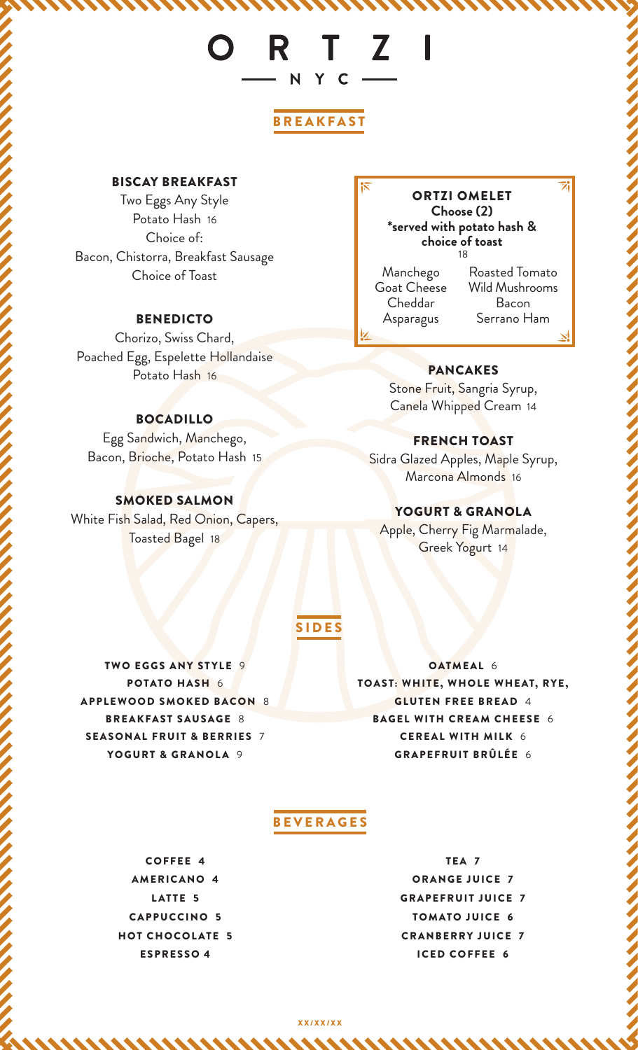# ORTZI N Y C —

# BREAKFAST

# BISCAY BREAKFAST

Two Eggs Any Style Potato Hash 16 Choice of: Bacon, Chistorra, Breakfast Sausage Choice of Toast

# BENEDICTO

Chorizo, Swiss Chard, Poached Egg, Espelette Hollandaise Potato Hash 16

# BOCADILLO

Egg Sandwich, Manchego, Bacon, Brioche, Potato Hash 15

# SMOKED SALMON

White Fish Salad, Red Onion, Capers, Toasted Bagel 18

#### 18 ORTZI OMELET **Choose (2) \*served with potato hash & choice of toast**

Manchego Goat Cheese Cheddar Asparagus

Roasted Tomato Wild Mushrooms Bacon Serrano Ham

### PANCAKES

Stone Fruit, Sangria Syrup, Canela Whipped Cream 14

#### FRENCH TOAST

Sidra Glazed Apples, Maple Syrup, Marcona Almonds 16

YOGURT & GRANOLA

Apple, Cherry Fig Marmalade, Greek Yogurt 14

# SIDES

TWO EGGS ANY STYLE 9 POTATO HASH 6 APPLEWOOD SMOKED BACON 8 BREAKFAST SAUSAGE 8 SEASONAL FRUIT & BERRIES 7 YOGURT & GRANOLA 9

OATMEAL 6 TOAST: WHITE, WHOLE WHEAT, RYE, GLUTEN FREE BREAD 4 BAGEL WITH CREAM CHEESE 6 CEREAL WITH MILK 6 GRAPEFRUIT BRÛLÉE 6

# BEVERAGES

COFFEE 4 AMERICANO 4 LATTE 5 CAPPUCCINO 5 HOT CHOCOLATE 5 ESPRESSO 4

TEA 7 ORANGE JUICE 7 GRAPEFRUIT JUICE 7 TOMATO JUICE 6 CRANBERRY JUICE 7 ICED COFFEE 6